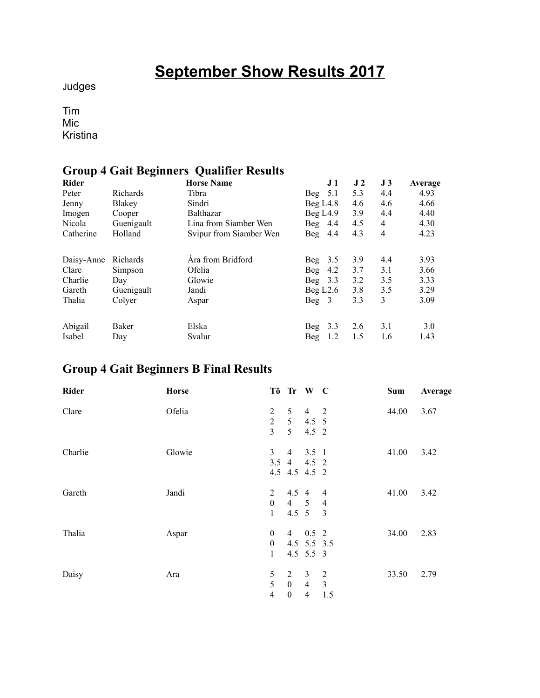# **September Show Results 2017**

Judges

Tim Mic Kristina

## **Group 4 Gait Beginners Qualifier Results**

| <b>Rider</b> |            | <b>Horse Name</b>       | J <sub>1</sub>       | J <sub>2</sub> | J <sub>3</sub> | Average |
|--------------|------------|-------------------------|----------------------|----------------|----------------|---------|
| Peter        | Richards   | Tibra                   | 5.1<br>Beg           | 5.3            | 4.4            | 4.93    |
| Jenny        | Blakey     | Sindri                  | Beq L4.8             | 4.6            | 4.6            | 4.66    |
| Imogen       | Cooper     | Balthazar               | Beg $L4.9$           | 3.9            | 4.4            | 4.40    |
| Nicola       | Guenigault | Lina from Siamber Wen   | 4.4<br>Beg           | 4.5            | 4              | 4.30    |
| Catherine    | Holland    | Svipur from Siamber Wen | 4.4<br>Beg           | 4.3            | 4              | 4.23    |
| Daisy-Anne   | Richards   | Ara from Bridford       | 3.5<br><b>Beg</b>    | 3.9            | 4.4            | 3.93    |
| Clare        | Simpson    | Ofelia                  | 4.2<br><b>Beg</b>    | 3.7            | 3.1            | 3.66    |
| Charlie      | Day        | Glowie                  | 3.3<br>Beg           | 3.2            | 3.5            | 3.33    |
| Gareth       | Guenigault | Jandi                   | Beq L2.6             | 3.8            | 3.5            | 3.29    |
| Thalia       | Colyer     | Aspar                   | $\text{Beg} \quad 3$ | 3.3            | 3              | 3.09    |
| Abigail      | Baker      | Elska                   | 3.3<br><b>Beg</b>    | 2.6            | 3.1            | 3.0     |
| Isabel       | Day        | Svalur                  | 1.2<br>Beg           | 1.5            | 1.6            | 1.43    |

## **Group 4 Gait Beginners B Final Results**

| Rider   | Horse  |                  |                  | Tö Tr W C      |                         | <b>Sum</b> | Average |
|---------|--------|------------------|------------------|----------------|-------------------------|------------|---------|
| Clare   | Ofelia | $\overline{2}$   | 5                | $4\quad 2$     |                         | 44.00      | 3.67    |
|         |        | $\overline{2}$   | $5\overline{)}$  | $4.5 \quad 5$  |                         |            |         |
|         |        | $\overline{3}$   | 5                | 4.5 2          |                         |            |         |
| Charlie | Glowie | $\mathfrak{Z}$   | $\overline{4}$   | $3.5 \quad 1$  |                         | 41.00      | 3.42    |
|         |        | $3.5 \quad 4$    |                  | 4.5 2          |                         |            |         |
|         |        |                  |                  | 4.5 4.5 4.5 2  |                         |            |         |
| Gareth  | Jandi  | 2                | $4.5 \quad 4$    |                | $\overline{4}$          | 41.00      | 3.42    |
|         |        | $\boldsymbol{0}$ | $4\quad 5$       |                | $\overline{4}$          |            |         |
|         |        | $\mathbf{1}$     | $4.5 \quad 5$    |                | $\overline{\mathbf{3}}$ |            |         |
| Thalia  | Aspar  | $\boldsymbol{0}$ | $\overline{4}$   | $0.5 \t2$      |                         | 34.00      | 2.83    |
|         |        | $\boldsymbol{0}$ |                  | 4.5 5.5 3.5    |                         |            |         |
|         |        | $\mathbf{1}$     |                  | $4.5$ 5.5 3    |                         |            |         |
| Daisy   | Ara    | 5                | 2                | 3              | $\overline{2}$          | 33.50      | 2.79    |
|         |        | 5                | $\mathbf{0}$     | $\overline{4}$ | $\mathfrak{Z}$          |            |         |
|         |        | $\overline{4}$   | $\boldsymbol{0}$ | $\overline{4}$ | 1.5                     |            |         |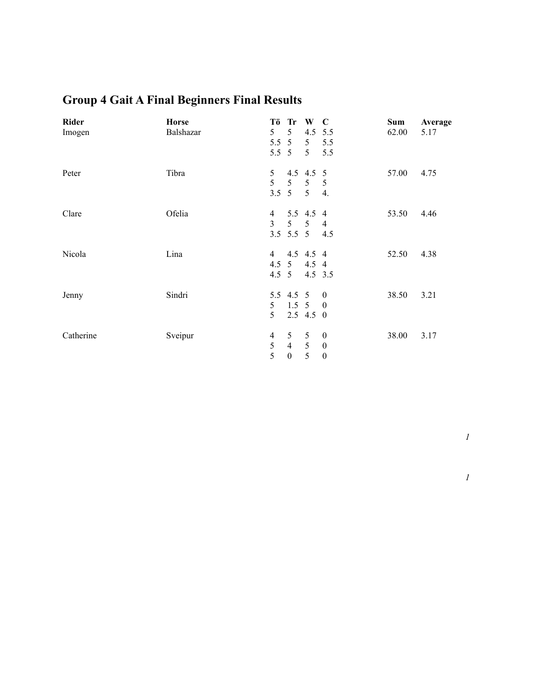# **Group 4 Gait A Final Beginners Final Results**

| Rider<br>Imogen | <b>Horse</b><br>Balshazar | Тö<br>5<br>$5.5 \quad 5$<br>$5.5\ 5$ | Tr<br>5                                 | W C<br>$4.5$ 5.5<br>5 <sup>5</sup><br>5 <sup>5</sup> | 5.5<br>5.5                                               | Sum<br>62.00 | Average<br>5.17 |
|-----------------|---------------------------|--------------------------------------|-----------------------------------------|------------------------------------------------------|----------------------------------------------------------|--------------|-----------------|
| Peter           | Tibra                     | 5<br>5                               | 5 <sup>5</sup><br>$3.5 \quad 5$         | 4.5 4.5 5<br>5 <sup>5</sup><br>5 <sup>5</sup>        | -5<br>4.                                                 | 57.00        | 4.75            |
| Clare           | Ofelia                    | 4<br>$\overline{3}$                  | 5 <sup>1</sup><br>$3.5$ 5.5 5           | 5.5 4.5 4<br>5                                       | $\overline{4}$<br>4.5                                    | 53.50        | 4.46            |
| Nicola          | Lina                      | $\overline{4}$<br>$4.5 \t5$          |                                         | 4.5 4.5 4<br>4.5 5 4.5 4<br>4.5 3.5                  |                                                          | 52.50        | 4.38            |
| Jenny           | Sindri                    | 5<br>5                               | 5.5 4.5 5                               | $1.5 \t5 \t0$<br>$2.5$ 4.5 0                         | $\boldsymbol{0}$                                         | 38.50        | 3.21            |
| Catherine       | Sveipur                   | 4<br>5<br>5                          | 5<br>$\overline{4}$<br>$\boldsymbol{0}$ | 5<br>5<br>5                                          | $\boldsymbol{0}$<br>$\boldsymbol{0}$<br>$\boldsymbol{0}$ | 38.00        | 3.17            |

*1*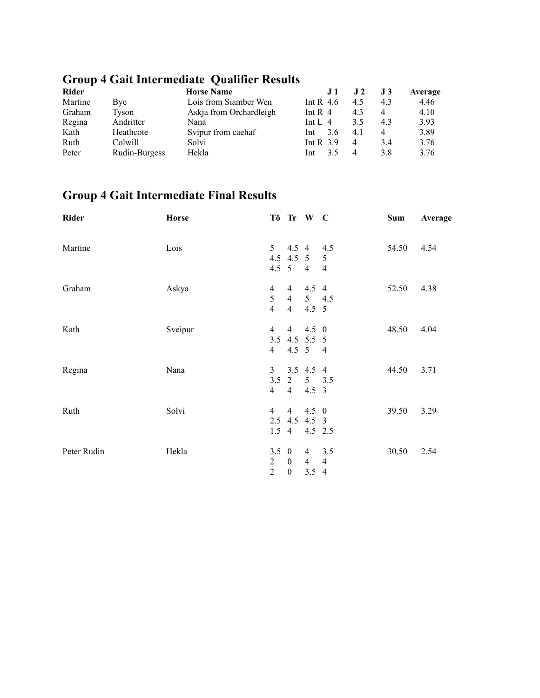# **Group 4 Gait Intermediate Qualifier Results**

| <b>Rider</b> |               | <b>Horse Name</b>       |             |     | J3  | Average |
|--------------|---------------|-------------------------|-------------|-----|-----|---------|
| Martine      | Bve           | Lois from Siamber Wen   | Int R $4.6$ | 45  | 4.3 | 4.46    |
| Graham       | Tyson         | Askia from Orchardleigh | Int R $4$   | 43  | 4   | 4.10    |
| Regina       | Andritter     | Nana                    | Int L $4$   | 3.5 | 4.3 | 3.93    |
| Kath         | Heathcote     | Svipur from caehaf      | 3.6<br>Int  | 4.1 | 4   | 3.89    |
| Ruth         | Colwill       | Solvi                   | Int R $3.9$ | 4   | 3.4 | 3.76    |
| Peter        | Rudin-Burgess | Hekla                   | Int         | 4   | 3.8 | 3.76    |

# **Group 4 Gait Intermediate Final Results**

| Rider       | <b>Horse</b> |                                                   | Tö Tr W C                                        |                                                   |                       | <b>Sum</b> | Average |
|-------------|--------------|---------------------------------------------------|--------------------------------------------------|---------------------------------------------------|-----------------------|------------|---------|
| Martine     | Lois         | 5 <sup>5</sup>                                    | 4.5 4.5 5<br>4.5 5 4 4                           | 4.5 4 4.5                                         | $\mathfrak{S}$        | 54.50      | 4.54    |
| Graham      | Askya        | $\overline{4}$<br>5<br>$\overline{4}$             | $\overline{4}$<br>$4\overline{ }$                | $4.5\quad4$<br>$4 \quad 5 \quad 4.5$<br>$4.5 \t5$ |                       | 52.50      | 4.38    |
| Kath        | Sveipur      | 4<br>4                                            | $\overline{4}$<br>3.5 4.5 5.5 5                  | $4.5 \quad 0$<br>4.5 5 4                          |                       | 48.50      | 4.04    |
| Regina      | Nana         | 3 <sup>7</sup><br>$\overline{4}$                  | 3.5 2 5 3.5<br>$4\overline{ }$                   | 3.5 4.5 4<br>$4.5 \quad 3$                        |                       | 44.50      | 3.71    |
| Ruth        | Solvi        | $\overline{4}$                                    | $\overline{4}$<br>2.5 4.5 4.5 3<br>$1.5 \quad 4$ | $4.5 \quad 0$<br>4.5 2.5                          |                       | 39.50      | 3.29    |
| Peter Rudin | Hekla        | $3.5 \quad 0$<br>$\overline{2}$<br>$\overline{2}$ | $\boldsymbol{0}$<br>$\boldsymbol{0}$             | $\overline{4}$<br>$\overline{4}$<br>3.54          | 3.5<br>$\overline{4}$ | 30.50      | 2.54    |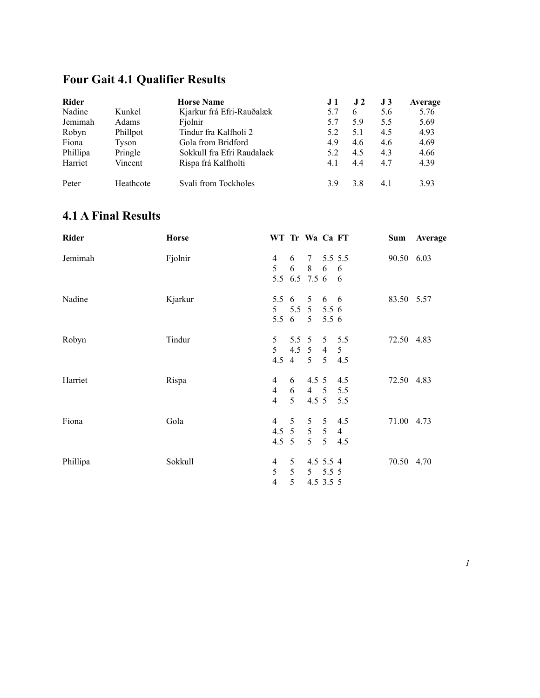# **Four Gait 4.1 Qualifier Results**

| <b>Rider</b> |           | <b>Horse Name</b>          | J 1 | $\bf J$ 2 | $\bf J$ 3 | Average |
|--------------|-----------|----------------------------|-----|-----------|-----------|---------|
| Nadine       | Kunkel    | Kjarkur frá Efri-Rauðalæk  | 5.7 | 6         | 5.6       | 5.76    |
| Jemimah      | Adams     | Fiolnir                    | 5.7 | 5.9       | 5.5       | 5.69    |
| Robyn        | Phillpot  | Tindur fra Kalfholi 2      | 5.2 | 5.1       | 4.5       | 4.93    |
| Fiona        | Tyson     | Gola from Bridford         | 4.9 | 4.6       | 4.6       | 4.69    |
| Phillipa     | Pringle   | Sokkull fra Efri Raudalaek | 5.2 | 4.5       | 4.3       | 4.66    |
| Harriet      | Vincent   | Rispa frá Kalfholti        | 4.1 | 4.4       | 4.7       | 4.39    |
| Peter        | Heathcote | Svali from Tockholes       | 39  | 38        | 4.1       | 3.93    |

## **4.1 A Final Results**

| Rider    | <b>Horse</b> | WT Tr Wa Ca FT                                     |                                               |                                     |                 |                       |            | Sum Average |
|----------|--------------|----------------------------------------------------|-----------------------------------------------|-------------------------------------|-----------------|-----------------------|------------|-------------|
| Jemimah  | Fjolnir      | 4<br>5 <sup>1</sup>                                | 6<br>6<br>5.5 6.5 7.5 6 6                     | 7 5.5 5.5<br>8 6                    |                 | 6                     | 90.50 6.03 |             |
| Nadine   | Kjarkur      | $5.5\quad6$                                        | 5 5.5 5 5.5 6<br>5.5 6 5 5.5 6                | 5                                   | 6 6             |                       | 83.50 5.57 |             |
| Robyn    | Tindur       | 5<br>5 <sup>5</sup>                                | 5.5 5 5 5.5<br>$4.5 \t5 \t4$<br>4.5 4 5 5 4.5 |                                     |                 | 5 <sup>5</sup>        | 72.50 4.83 |             |
| Harriet  | Rispa        | $\overline{4}$<br>$\overline{4}$<br>$\overline{4}$ | 6<br>6<br>5 <sup>5</sup>                      | 4.5 5 4.5<br>$4\quad 5$<br>$4.5\,5$ |                 | 5.5<br>5.5            | 72.50 4.83 |             |
| Fiona    | Gola         | $\overline{4}$<br>4.5 5 5 5<br>$4.5 \t5$           | .5                                            | 5 <sup>5</sup><br>5 <sup>5</sup>    | 5<br>$5 \t 4.5$ | 4.5<br>$\overline{4}$ | 71.00 4.73 |             |
| Phillipa | Sokkull      | 4<br>5<br>$\overline{4}$                           | 5<br>5<br>5                                   | 4.5 5.5 4<br>4.5 3.5 5              | $5\quad 5.5\;5$ |                       | 70.50 4.70 |             |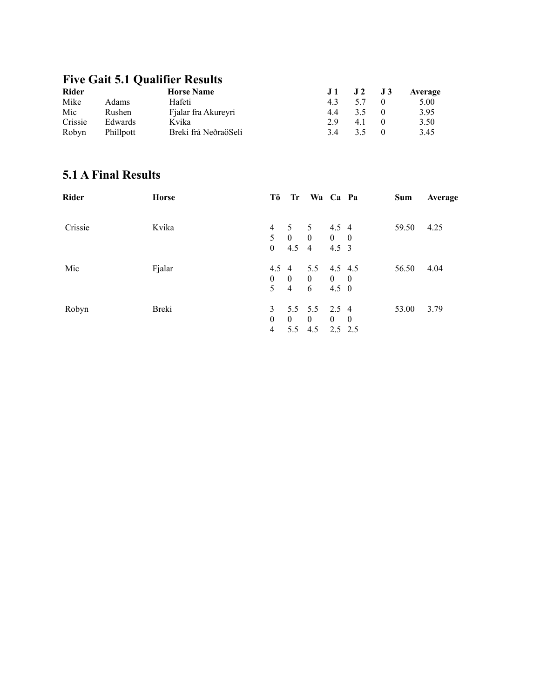# **Five Gait 5.1 Qualifier Results**

| <b>Rider</b> |              | <b>Horse Name</b>    | $J_{\rm 1}$ | $J2$ $J3$ | Average |
|--------------|--------------|----------------------|-------------|-----------|---------|
| Mike         | <b>Adams</b> | Hafeti               | 43          | 57        | 5.00    |
| Mic          | Rushen       | Fjalar fra Akureyri  | 44          |           | 3.95    |
| Crissie      | Edwards      | Kvika                | 2.9         | 41        | 3.50    |
| Robyn        | Phillpott    | Breki frá NeðraöSeli | 34          | 35        | 3.45    |

## **5.1 A Final Results**

| <b>Rider</b> | <b>Horse</b> | Тö             | Tr             | Wa Ca Pa       |               | Sum   | Average |
|--------------|--------------|----------------|----------------|----------------|---------------|-------|---------|
| Crissie      | Kvika        | $\overline{4}$ | 5 5            |                | 4.5 4         | 59.50 | 4.25    |
|              |              | 5 <sup>1</sup> | $\overline{0}$ | $\overline{0}$ | $0 \quad 0$   |       |         |
|              |              | $\overline{0}$ |                | $4.5 \quad 4$  | $4.5 \quad 3$ |       |         |
| Mic          | Fjalar       | 4.5 4          |                | 5.5            | 4.5 4.5       | 56.50 | 4.04    |
|              |              | $\mathbf{0}$   | $\overline{0}$ | $\mathbf{0}$   | $0 \quad 0$   |       |         |
|              |              | 5 <sup>5</sup> | $\overline{4}$ | 6              | $4.5 \quad 0$ |       |         |
| Robyn        | Breki        | 3              |                | 5.5 5.5 2.5 4  |               | 53.00 | 3.79    |
|              |              | $\theta$       | $\theta$       | $\overline{0}$ | $0 \quad 0$   |       |         |
|              |              | $\overline{4}$ | 5.5            | 4.5            | $2.5$ 2.5     |       |         |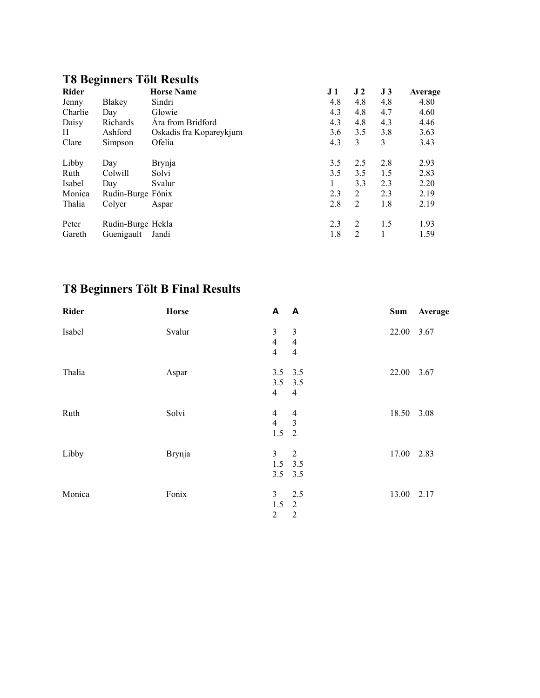### **T8 Beginners Tölt Results**

| <b>Rider</b> |                   | <b>Horse Name</b>       | J 1 | J <sub>2</sub> | J 3 | Average |
|--------------|-------------------|-------------------------|-----|----------------|-----|---------|
| Jenny        | Blakey            | Sindri                  | 4.8 | 4.8            | 4.8 | 4.80    |
| Charlie      | Day               | Glowie                  | 4.3 | 4.8            | 4.7 | 4.60    |
| Daisy        | Richards          | Ara from Bridford       | 4.3 | 4.8            | 4.3 | 4.46    |
| H            | Ashford           | Oskadis fra Kopareykjum | 3.6 | 3.5            | 3.8 | 3.63    |
| Clare        | Simpson           | Ofelia                  | 4.3 | 3              | 3   | 3.43    |
| Libby        | Day               | <b>Brynja</b>           | 3.5 | 2.5            | 2.8 | 2.93    |
| Ruth         | Colwill           | Solvi                   | 3.5 | 3.5            | 1.5 | 2.83    |
| Isabel       | Day               | Svalur                  |     | 3.3            | 2.3 | 2.20    |
| Monica       | Rudin-Burge Fönix |                         | 2.3 | 2              | 2.3 | 2.19    |
| Thalia       | Colver            | Aspar                   | 2.8 | $\overline{2}$ | 1.8 | 2.19    |
| Peter        | Rudin-Burge Hekla |                         | 2.3 | $\overline{2}$ | 1.5 | 1.93    |
| Gareth       | Guenigault        | Jandi                   | 1.8 | 2              |     | 1.59    |

# **T8 Beginners Tölt B Final Results**

| <b>Rider</b> | <b>Horse</b> | A A                                                |                                                    |            | Sum Average |
|--------------|--------------|----------------------------------------------------|----------------------------------------------------|------------|-------------|
| Isabel       | Svalur       | $\mathfrak{Z}$<br>$\overline{4}$<br>$\overline{4}$ | $\mathfrak{Z}$<br>$\overline{4}$<br>$\overline{4}$ | 22.00 3.67 |             |
| Thalia       | Aspar        | $3.5$ $3.5$<br>$3.5$ $3.5$<br>$\overline{4}$       | $\overline{4}$                                     | 22.00 3.67 |             |
| Ruth         | Solvi        | $\overline{4}$<br>$\overline{4}$<br>$1.5 \t2$      | $\overline{4}$<br>$\overline{\mathbf{3}}$          | 18.50 3.08 |             |
| Libby        | Brynja       | 3 <sup>7</sup><br>$1.5$ 3.5<br>$3.5$ $3.5$         | $\overline{2}$                                     | 17.00 2.83 |             |
| Monica       | Fonix        | $\mathfrak{Z}$<br>$1.5 \t2$<br>$\overline{2}$      | 2.5<br>$\overline{2}$                              | 13.00 2.17 |             |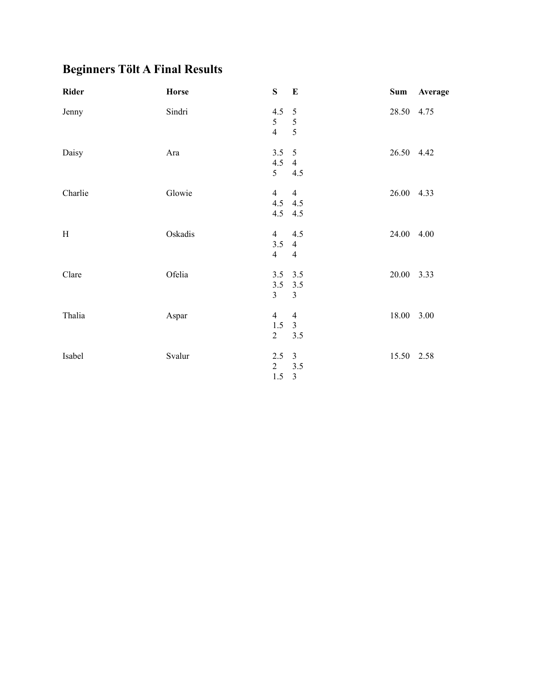# **Beginners Tölt A Final Results**

| Rider   | <b>Horse</b> | S                                                | $\mathbf{E}$                                     |            | Sum Average |
|---------|--------------|--------------------------------------------------|--------------------------------------------------|------------|-------------|
| Jenny   | Sindri       | 4.5<br>$\mathfrak{S}$<br>$\overline{4}$          | 5<br>5<br>5                                      | 28.50 4.75 |             |
| Daisy   | Ara          | $3.5 \quad 5$<br>$4.5 \quad 4$<br>5 <sup>5</sup> | 4.5                                              | 26.50 4.42 |             |
| Charlie | Glowie       | $\overline{4}$<br>4.5 4.5<br>4.5 4.5             | $\overline{4}$                                   | 26.00 4.33 |             |
| H       | Oskadis      | $4 \t 4.5$<br>$3.5 \quad 4$<br>$\overline{4}$    | $\overline{4}$                                   | 24.00 4.00 |             |
| Clare   | Ofelia       | 3.5 3.5<br>$3.5$ $3.5$<br>$\overline{3}$         | $\overline{3}$                                   | 20.00 3.33 |             |
| Thalia  | Aspar        | $\overline{4}$<br>$1.5 \t3$<br>$\overline{2}$    | $\overline{4}$<br>3.5                            | 18.00 3.00 |             |
| Isabel  | Svalur       | 2.5<br>$\overline{2}$<br>1.5                     | $\overline{3}$<br>3.5<br>$\overline{\mathbf{3}}$ | 15.50 2.58 |             |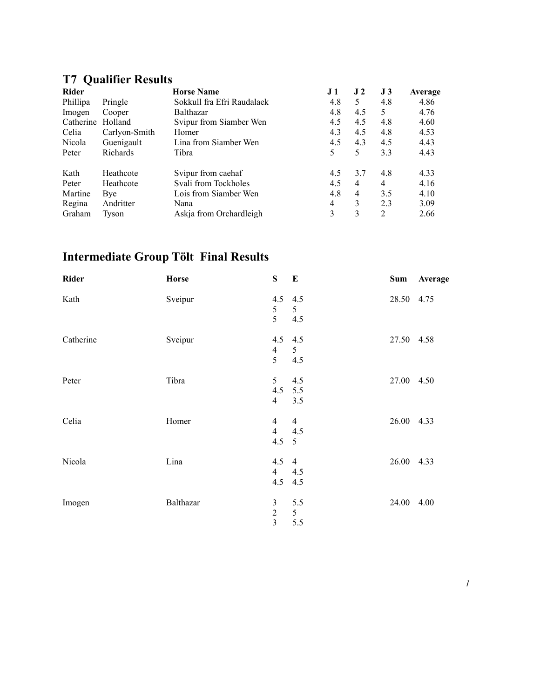## **T7 Qualifier Results**

| <b>Rider</b> |               | <b>Horse Name</b>          | J <sub>1</sub> | J <sub>2</sub> | J <sub>3</sub> | Average |
|--------------|---------------|----------------------------|----------------|----------------|----------------|---------|
| Phillipa     | Pringle       | Sokkull fra Efri Raudalaek | 4.8            | 5              | 4.8            | 4.86    |
| Imogen       | Cooper        | Balthazar                  | 4.8            | 4.5            | 5              | 4.76    |
| Catherine    | Holland       | Svipur from Siamber Wen    | 4.5            | 4.5            | 4.8            | 4.60    |
| Celia        | Carlyon-Smith | Homer                      | 4.3            | 4.5            | 4.8            | 4.53    |
| Nicola       | Guenigault    | Lina from Siamber Wen      | 4.5            | 4.3            | 4.5            | 4.43    |
| Peter        | Richards      | Tibra                      | 5              | 5              | 3.3            | 4.43    |
| Kath         | Heathcote     | Svipur from caehaf         | 4.5            | 3.7            | 4.8            | 4.33    |
| Peter        | Heathcote     | Svali from Tockholes       | 4.5            | $\overline{4}$ | 4              | 4.16    |
| Martine      | Bye           | Lois from Siamber Wen      | 4.8            | 4              | 3.5            | 4.10    |
| Regina       | Andritter     | Nana                       | 4              | 3              | 2.3            | 3.09    |
| Graham       | Tyson         | Askja from Orchardleigh    | 3              | 3              | $\mathfrak{D}$ | 2.66    |

# **Intermediate Group Tölt Final Results**

| <b>Rider</b> | <b>Horse</b> | S                                                  | $\mathbf{E}$                 | Sum        | Average |
|--------------|--------------|----------------------------------------------------|------------------------------|------------|---------|
| Kath         | Sveipur      | $4.5$ $4.5$<br>5<br>5                              | 5 <sup>5</sup><br>4.5        | 28.50 4.75 |         |
| Catherine    | Sveipur      | 4.5 4.5<br>$\overline{4}$<br>5                     | 5 <sup>5</sup><br>4.5        | 27.50 4.58 |         |
| Peter        | Tibra        | 5 <sup>5</sup><br>4.5 5.5<br>$\overline{4}$        | 4.5<br>3.5                   | 27.00 4.50 |         |
| Celia        | Homer        | $\overline{4}$<br>$\overline{4}$<br>$4.5 \quad 5$  | $\overline{4}$<br>4.5        | 26.00 4.33 |         |
| Nicola       | Lina         | 4.5 4<br>$4\overline{ }$<br>4.5                    | 4.5<br>4.5                   | 26.00 4.33 |         |
| Imogen       | Balthazar    | $\mathfrak{Z}$<br>$\overline{2}$<br>$\overline{3}$ | 5.5<br>$\mathfrak{S}$<br>5.5 | 24.00 4.00 |         |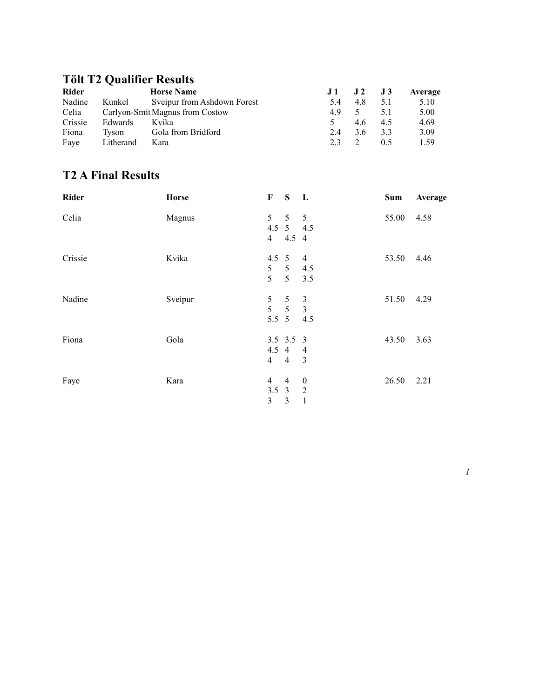# **Tölt T2 Qualifier Results**

| <b>Rider</b> |           | <b>Horse Name</b>               |    | $\bf{J}2$ | J3  | Average |
|--------------|-----------|---------------------------------|----|-----------|-----|---------|
| Nadine       | Kunkel    | Sveipur from Ashdown Forest     | 54 | 48        | 5.1 | 5.10    |
| Celia        |           | Carlyon-Smit Magnus from Costow | 49 |           | 51  | 5.00    |
| Crissie      | Edwards   | Kvika                           |    | 46        | 4.5 | 4.69    |
| Fiona        | Tvson     | Gola from Bridford              | 24 | 36        | 3.3 | 3.09    |
| Fave         | Litherand | Kara                            | 23 |           | 0.5 | 1.59    |

## **T2 A Final Results**

| <b>Rider</b> | <b>Horse</b> | $\mathbf F$                          | $S$ L                            |                                       | Sum   | Average |
|--------------|--------------|--------------------------------------|----------------------------------|---------------------------------------|-------|---------|
| Celia        | Magnus       | 5<br>$\overline{4}$                  | 5<br>4.5 5 4.5<br>4.5 4          | 5                                     | 55.00 | 4.58    |
| Crissie      | Kvika        | 4.5<br>5 <sup>5</sup><br>5           | 5<br>5 <sup>5</sup><br>5         | 4<br>4.5<br>3.5                       | 53.50 | 4.46    |
| Nadine       | Sveipur      | 5<br>5<br>$5.5\ 5$                   | 5<br>5                           | 3<br>$\overline{3}$<br>4.5            | 51.50 | 4.29    |
| Fiona        | Gola         | $4.5 \quad 4$<br>$\overline{4}$      | 3.5 3.5 3<br>$\overline{4}$      | 4<br>3                                | 43.50 | 3.63    |
| Faye         | Kara         | $\overline{4}$<br>$3.5 \quad 3$<br>3 | $\overline{4}$<br>$\mathfrak{Z}$ | $\boldsymbol{0}$<br>2<br>$\mathbf{1}$ | 26.50 | 2.21    |

*1*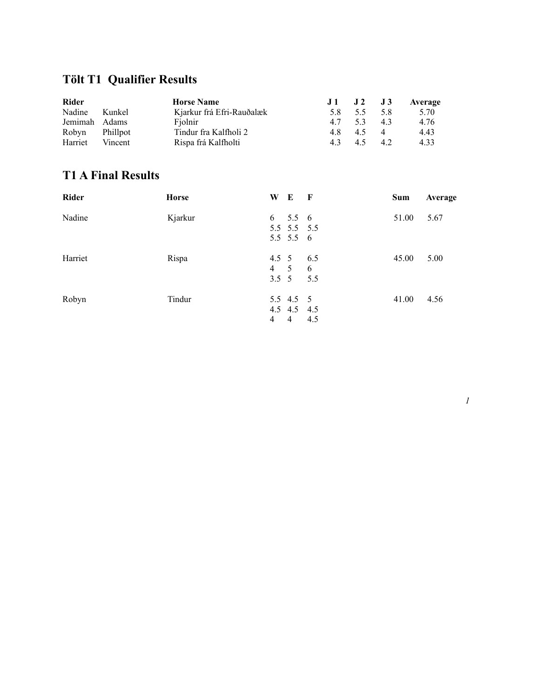# **Tölt T1 Qualifier Results**

| <b>Rider</b>  |          | <b>Horse Name</b>         |    | $J1$ $J2$ $J3$ |                | Average |
|---------------|----------|---------------------------|----|----------------|----------------|---------|
| Nadine        | Kunkel   | Kjarkur frá Efri-Rauðalæk | 58 | 55             | -5.8           | 5.70    |
| Jemimah Adams |          | Fiolnir                   | 47 | 53             | 43             | 4.76    |
| Robyn         | Phillpot | Tindur fra Kalfholi 2     | 48 | 45             | $\overline{4}$ | 4.43    |
| Harriet       | Vincent  | Rispa frá Kalfholti       | 43 | 45             | 42             | 4.33    |

### **T1 A Final Results**

| Rider   | <b>Horse</b> | W              | E                   | $\mathbf{F}$ | Sum   | Average |
|---------|--------------|----------------|---------------------|--------------|-------|---------|
| Nadine  | Kjarkur      |                | $6\quad 5.5\quad 6$ |              | 51.00 | 5.67    |
|         |              |                | 5.5 5.5 5.5         |              |       |         |
|         |              |                | 5.5 5.5 6           |              |       |         |
| Harriet | Rispa        | 4.5 5          |                     | 6.5          | 45.00 | 5.00    |
|         |              |                | $4 \quad 5 \quad 6$ |              |       |         |
|         |              | $3.5 \quad 5$  |                     | 5.5          |       |         |
| Robyn   | Tindur       |                | 5.5 4.5 5           |              | 41.00 | 4.56    |
|         |              |                | $4.5$ $4.5$ $4.5$   |              |       |         |
|         |              | $\overline{4}$ | $\overline{4}$      | 4.5          |       |         |

*1*